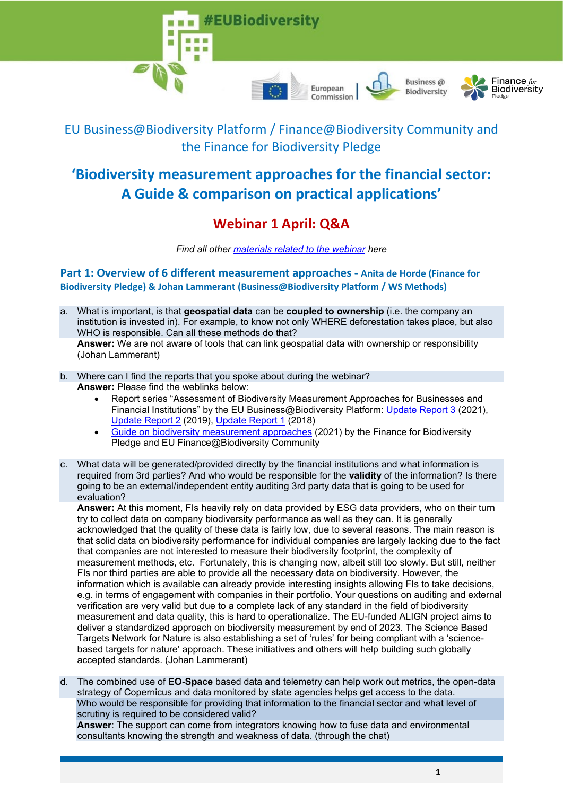



# **'Biodiversity measurement approaches for the financial sector: A Guide & comparison on practical applications'**

## **Webinar 1 April: Q&A**

*Find all other [materials related to the webinar](https://www.financeforbiodiversity.org/pledge-signatories-launch-guide-on-measuring-biodiversity/) here*

**Part 1: Overview of 6 different measurement approaches - Anita de Horde (Finance for Biodiversity Pledge) & Johan Lammerant (Business@Biodiversity Platform / WS Methods)** 

- a. What is important, is that **geospatial data** can be **coupled to ownership** (i.e. the company an institution is invested in). For example, to know not only WHERE deforestation takes place, but also WHO is responsible. Can all these methods do that? **Answer:** We are not aware of tools that can link geospatial data with ownership or responsibility (Johan Lammerant)
- b. Where can I find the reports that you spoke about during the webinar? **Answer:** Please find the weblinks below:
	- Report series "Assessment of Biodiversity Measurement Approaches for Businesses and Financial Institutions" by the EU Business@Biodiversity Platform: [Update Report 3](https://ec.europa.eu/environment/biodiversity/business/assets/pdf/EU%20B@B%20Platform%20Update%20Report%203_FINAL_1March2021.pdf) (2021), [Update Report 2](https://ec.europa.eu/environment/biodiversity/business/assets/pdf/European_B@B_platform_report_biodiversity_assessment_2019_FINAL_5Dec2019.pdf) (2019), [Update Report 1](https://ec.europa.eu/environment/biodiversity/business/assets/pdf/B@B_Assessment_biodiversity_accounting_approaches_Update_Report_1_19Nov2018.pdf) (2018)
	- [Guide on biodiversity measurement approaches](https://www.financeforbiodiversity.org/pledge-signatories-launch-guide-on-measuring-biodiversity/) (2021) by the Finance for Biodiversity Pledge and EU Finance@Biodiversity Community
- c. What data will be generated/provided directly by the financial institutions and what information is required from 3rd parties? And who would be responsible for the **validity** of the information? Is there going to be an external/independent entity auditing 3rd party data that is going to be used for evaluation?

**Answer:** At this moment, FIs heavily rely on data provided by ESG data providers, who on their turn try to collect data on company biodiversity performance as well as they can. It is generally acknowledged that the quality of these data is fairly low, due to several reasons. The main reason is that solid data on biodiversity performance for individual companies are largely lacking due to the fact that companies are not interested to measure their biodiversity footprint, the complexity of measurement methods, etc. Fortunately, this is changing now, albeit still too slowly. But still, neither FIs nor third parties are able to provide all the necessary data on biodiversity. However, the information which is available can already provide interesting insights allowing FIs to take decisions, e.g. in terms of engagement with companies in their portfolio. Your questions on auditing and external verification are very valid but due to a complete lack of any standard in the field of biodiversity measurement and data quality, this is hard to operationalize. The EU-funded ALIGN project aims to deliver a standardized approach on biodiversity measurement by end of 2023. The Science Based Targets Network for Nature is also establishing a set of 'rules' for being compliant with a 'sciencebased targets for nature' approach. These initiatives and others will help building such globally accepted standards. (Johan Lammerant)

d. The combined use of **EO-Space** based data and telemetry can help work out metrics, the open-data strategy of Copernicus and data monitored by state agencies helps get access to the data. Who would be responsible for providing that information to the financial sector and what level of scrutiny is required to be considered valid?

**Answer**: The support can come from integrators knowing how to fuse data and environmental consultants knowing the strength and weakness of data. (through the chat)

Finance for

**Biodiversity** 

Business @

Biodiversity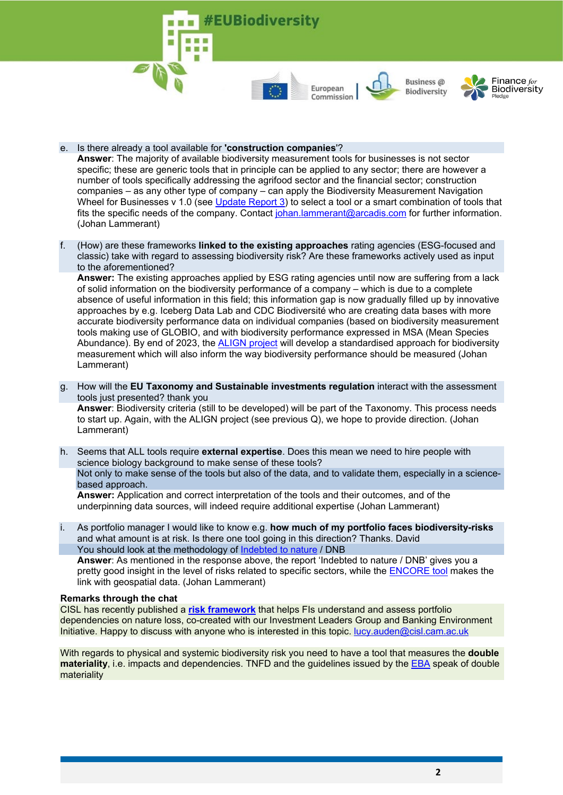

Business @ Biodiversity



- e. Is there already a tool available for **'construction companies**'? **Answer**: The majority of available biodiversity measurement tools for businesses is not sector specific; these are generic tools that in principle can be applied to any sector; there are however a number of tools specifically addressing the agrifood sector and the financial sector; construction companies – as any other type of company – can apply the Biodiversity Measurement Navigation Wheel for Businesses v 1.0 (see [Update Report 3\)](https://ec.europa.eu/environment/biodiversity/business/workstreams/methods/index_en.htm) to select a tool or a smart combination of tools that fits the specific needs of the company. Contact [johan.lammerant@arcadis.com](mailto:johan.lammerant@arcadis.com) for further information. (Johan Lammerant)
- f. (How) are these frameworks **linked to the existing approaches** rating agencies (ESG-focused and classic) take with regard to assessing biodiversity risk? Are these frameworks actively used as input to the aforementioned?

**Answer:** The existing approaches applied by ESG rating agencies until now are suffering from a lack of solid information on the biodiversity performance of a company – which is due to a complete absence of useful information in this field; this information gap is now gradually filled up by innovative approaches by e.g. Iceberg Data Lab and CDC Biodiversité who are creating data bases with more accurate biodiversity performance data on individual companies (based on biodiversity measurement tools making use of GLOBIO, and with biodiversity performance expressed in MSA (Mean Species Abundance). By end of 2023, the [ALIGN project](https://capitalscoalition.org/project/align/) will develop a standardised approach for biodiversity measurement which will also inform the way biodiversity performance should be measured (Johan Lammerant)

- g. How will the **EU Taxonomy and Sustainable investments regulation** interact with the assessment tools just presented? thank you **Answer**: Biodiversity criteria (still to be developed) will be part of the Taxonomy. This process needs to start up. Again, with the ALIGN project (see previous Q), we hope to provide direction. (Johan Lammerant)
- h. Seems that ALL tools require **external expertise**. Does this mean we need to hire people with science biology background to make sense of these tools? Not only to make sense of the tools but also of the data, and to validate them, especially in a sciencebased approach. **Answer:** Application and correct interpretation of the tools and their outcomes, and of the underpinning data sources, will indeed require additional expertise (Johan Lammerant)
- i. As portfolio manager I would like to know e.g. **how much of my portfolio faces biodiversity-risks** and what amount is at risk. Is there one tool going in this direction? Thanks. David You should look at the methodology of [Indebted to nature](https://www.dnb.nl/en/actueel/dnb/dnbulletin-2020/indebted-to-nature/) / DNB **Answer**: As mentioned in the response above, the report 'Indebted to nature / DNB' gives you a pretty good insight in the level of risks related to specific sectors, while the **ENCORE** tool makes the link with geospatial data. (Johan Lammerant)

#### **Remarks through the chat**

CISL has recently published a **[risk framework](https://www.cisl.cam.ac.uk/resources/sustainable-finance-publications/handbook-nature-related-financial-risks)** that helps FIs understand and assess portfolio dependencies on nature loss, co-created with our Investment Leaders Group and Banking Environment Initiative. Happy to discuss with anyone who is interested in this topic. [lucy.auden@cisl.cam.ac.uk](mailto:lucy.auden@cisl.cam.ac.uk)

With regards to physical and systemic biodiversity risk you need to have a tool that measures the **double materiality**, i.e. impacts and dependencies. TNFD and the guidelines issued by the [EBA](https://www.eba.europa.eu/regulation-and-policy/credit-risk/regulatory-technical-standards-on-materiality-threshold-of-credit-obligation-past-due) speak of double materiality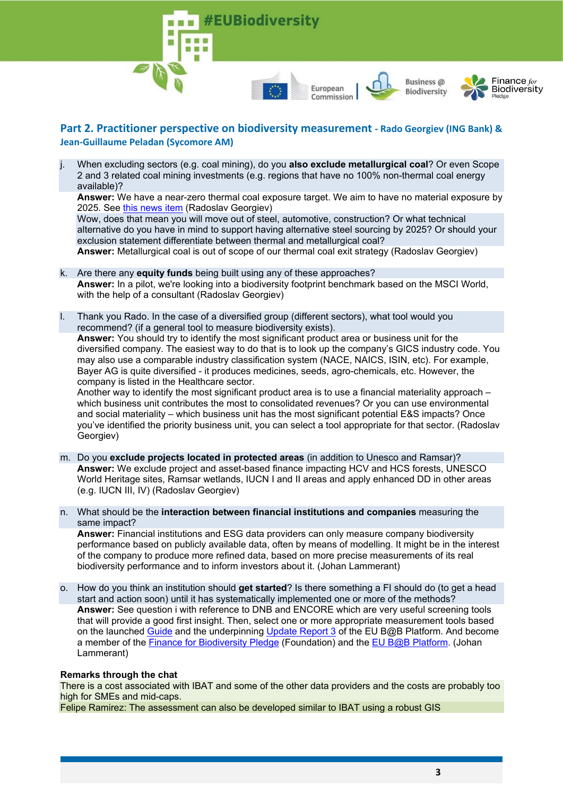





## **Part 2. Practitioner perspective on biodiversity measurement - Rado Georgiev (ING Bank) & Jean-Guillaume Peladan (Sycomore AM)**

j. When excluding sectors (e.g. coal mining), do you **also exclude metallurgical coal**? Or even Scope 2 and 3 related coal mining investments (e.g. regions that have no 100% non-thermal coal energy available)?

**Answer:** We have a near-zero thermal coal exposure target. We aim to have no material exposure by 2025. See [this news item](https://www.ing.com/Newsroom/News/ING-further-sharpens-coal-policy-to-support-transition-to-low-carbon-economy.htm) (Radoslav Georgiev)

Wow, does that mean you will move out of steel, automotive, construction? Or what technical alternative do you have in mind to support having alternative steel sourcing by 2025? Or should your exclusion statement differentiate between thermal and metallurgical coal?

**Answer:** Metallurgical coal is out of scope of our thermal coal exit strategy (Radoslav Georgiev)

- k. Are there any **equity funds** being built using any of these approaches? **Answer:** In a pilot, we're looking into a biodiversity footprint benchmark based on the MSCI World, with the help of a consultant (Radoslav Georgiev)
- l. Thank you Rado. In the case of a diversified group (different sectors), what tool would you recommend? (if a general tool to measure biodiversity exists).

**Answer:** You should try to identify the most significant product area or business unit for the diversified company. The easiest way to do that is to look up the company's GICS industry code. You may also use a comparable industry classification system (NACE, NAICS, ISIN, etc). For example, Bayer AG is quite diversified - it produces medicines, seeds, agro-chemicals, etc. However, the company is listed in the Healthcare sector.

Another way to identify the most significant product area is to use a financial materiality approach – which business unit contributes the most to consolidated revenues? Or you can use environmental and social materiality – which business unit has the most significant potential E&S impacts? Once you've identified the priority business unit, you can select a tool appropriate for that sector. (Radoslav Georgiev)

- m. Do you **exclude projects located in protected areas** (in addition to Unesco and Ramsar)? **Answer:** We exclude project and asset-based finance impacting HCV and HCS forests, UNESCO World Heritage sites, Ramsar wetlands, IUCN I and II areas and apply enhanced DD in other areas (e.g. IUCN III, IV) (Radoslav Georgiev)
- n. What should be the **interaction between financial institutions and companies** measuring the same impact?

**Answer:** Financial institutions and ESG data providers can only measure company biodiversity performance based on publicly available data, often by means of modelling. It might be in the interest of the company to produce more refined data, based on more precise measurements of its real biodiversity performance and to inform investors about it. (Johan Lammerant)

o. How do you think an institution should **get started**? Is there something a FI should do (to get a head start and action soon) until it has systematically implemented one or more of the methods? **Answer:** See question i with reference to DNB and ENCORE which are very useful screening tools that will provide a good first insight. Then, select one or more appropriate measurement tools based on the launched [Guide](https://www.financeforbiodiversity.org/pledge-signatories-launch-guide-on-measuring-biodiversity/) and the underpinning [Update Report 3](https://ec.europa.eu/environment/biodiversity/business/workstreams/methods/index_en.htm) of the EU B@B Platform. And become a member of the [Finance for Biodiversity Pledge](https://www.financeforbiodiversity.org/) (Foundation) and the [EU B@B Platform.](https://ec.europa.eu/environment/biodiversity/business/workstreams/pioneers/index_en.htm) (Johan Lammerant)

#### **Remarks through the chat**

There is a cost associated with IBAT and some of the other data providers and the costs are probably too high for SMEs and mid-caps.

Felipe Ramirez: The assessment can also be developed similar to IBAT using a robust GIS